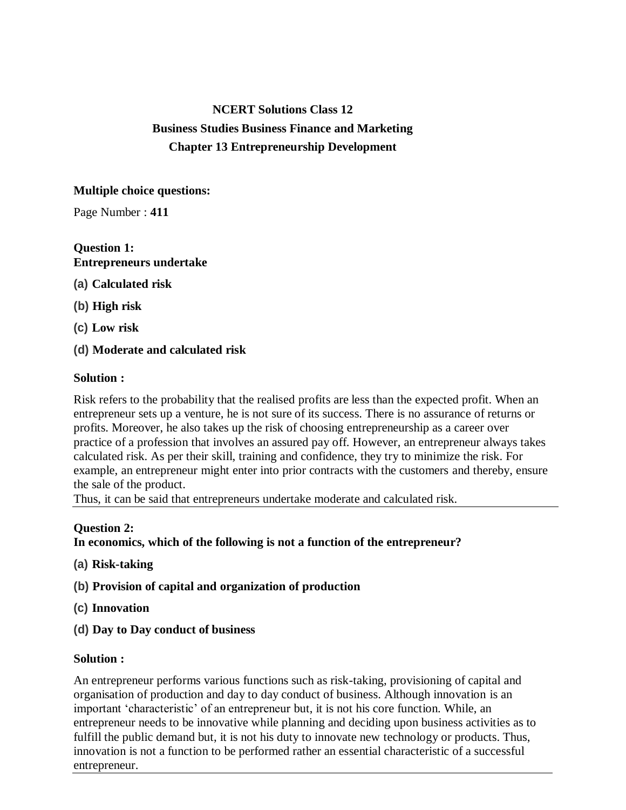# **NCERT Solutions Class 12 Business Studies Business Finance and Marketing Chapter 13 Entrepreneurship Development**

### **Multiple choice questions:**

Page Number : **411**

### **Question 1: Entrepreneurs undertake**

- **(a) Calculated risk**
- **(b) High risk**
- **(c) Low risk**
- **(d) Moderate and calculated risk**

#### **Solution :**

Risk refers to the probability that the realised profits are less than the expected profit. When an entrepreneur sets up a venture, he is not sure of its success. There is no assurance of returns or profits. Moreover, he also takes up the risk of choosing entrepreneurship as a career over practice of a profession that involves an assured pay off. However, an entrepreneur always takes calculated risk. As per their skill, training and confidence, they try to minimize the risk. For example, an entrepreneur might enter into prior contracts with the customers and thereby, ensure the sale of the product.

Thus, it can be said that entrepreneurs undertake moderate and calculated risk.

#### **Question 2:**

**In economics, which of the following is not a function of the entrepreneur?**

- **(a) Risk-taking**
- **(b) Provision of capital and organization of production**
- **(c) Innovation**
- **(d) Day to Day conduct of business**

#### **Solution :**

An entrepreneur performs various functions such as risk-taking, provisioning of capital and organisation of production and day to day conduct of business. Although innovation is an important 'characteristic' of an entrepreneur but, it is not his core function. While, an entrepreneur needs to be innovative while planning and deciding upon business activities as to fulfill the public demand but, it is not his duty to innovate new technology or products. Thus, innovation is not a function to be performed rather an essential characteristic of a successful entrepreneur.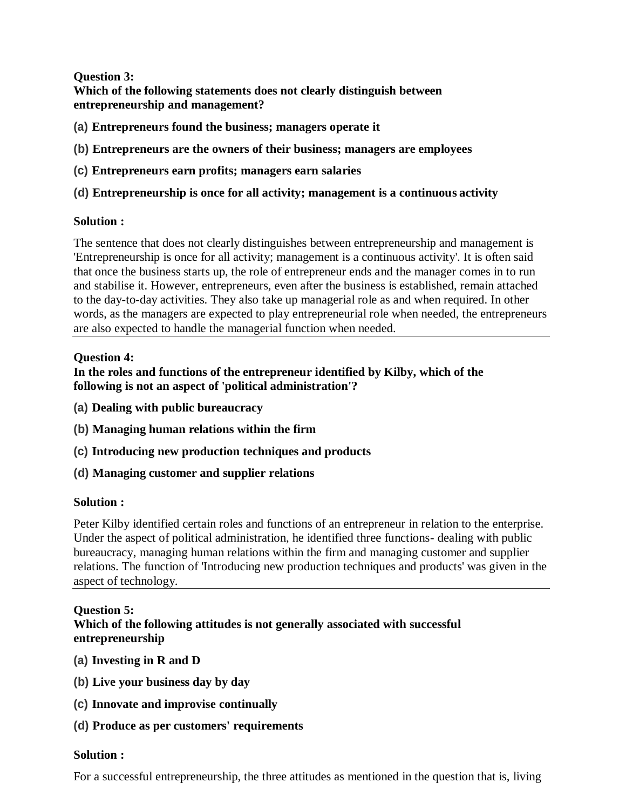**[Question 3:](https://www.ncertbooks.guru/cbse-ncert-solutions-pdf/) Which of the following statements does not clearly distinguish between entrepreneurship and management?**

- **(a) Entrepreneurs found the business; managers operate it**
- **(b) Entrepreneurs are the owners of their business; managers are employees**
- **(c) Entrepreneurs earn profits; managers earn salaries**
- **(d) Entrepreneurship is once for all activity; management is a continuous activity**

### **Solution :**

The sentence that does not clearly distinguishes between entrepreneurship and management is 'Entrepreneurship is once for all activity; management is a continuous activity'. It is often said that once the business starts up, the role of entrepreneur ends and the manager comes in to run and stabilise it. However, entrepreneurs, even after the business is established, remain attached to the day-to-day activities. They also take up managerial role as and when required. In other words, as the managers are expected to play entrepreneurial role when needed, the entrepreneurs are also expected to handle the managerial function when needed.

## **Question 4:**

### **In the roles and functions of the entrepreneur identified by Kilby, which of the following is not an aspect of 'political administration'?**

- **(a) Dealing with public bureaucracy**
- **(b) Managing human relations within the firm**
- **(c) Introducing new production techniques and products**
- **(d) Managing customer and supplier relations**

### **Solution :**

Peter Kilby identified certain roles and functions of an entrepreneur in relation to the enterprise. Under the aspect of political administration, he identified three functions- dealing with public bureaucracy, managing human relations within the firm and managing customer and supplier relations. The function of 'Introducing new production techniques and products' was given in the aspect of technology.

### **Question 5:**

# **Which of the following attitudes is not generally associated with successful entrepreneurship**

- **(a) Investing in R and D**
- **(b) Live your business day by day**
- **(c) Innovate and improvise continually**
- **(d) Produce as per customers' requirements**

### **Solution :**

For a successful entrepreneurship, the three attitudes as mentioned in the question that is, living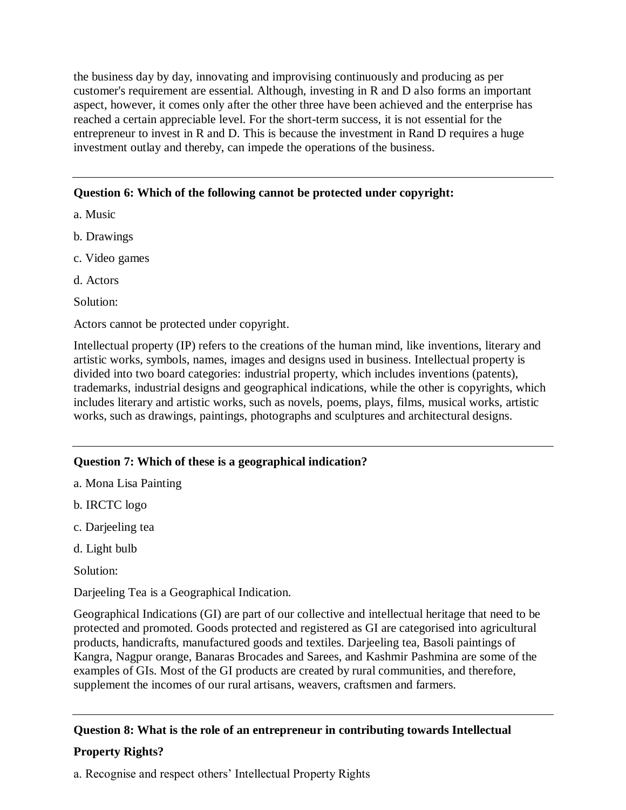the business day by day, innovating and improvising continuously and producing as per customer's requirement are essential. Although, investing in R and D also forms an important aspect, however, it comes only after the other three have been achieved and the enterprise has reached a certain appreciable level. For the short-term success, it is not essential for the entrepreneur to invest in R and D. This is because the investment in Rand D requires a huge investment outlay and thereby, can impede the operations of the business.

### **Question 6: Which of the following cannot be protected under copyright:**

a. Music

b. Drawings

c. Video games

d. Actors

Solution:

Actors cannot be protected under copyright.

Intellectual property (IP) refers to the creations of the human mind, like inventions, literary and artistic works, symbols, names, images and designs used in business. Intellectual property is divided into two board categories: industrial property, which includes inventions (patents), trademarks, industrial designs and geographical indications, while the other is copyrights, which includes literary and artistic works, such as novels, poems, plays, films, musical works, artistic works, such as drawings, paintings, photographs and sculptures and architectural designs.

### **Question 7: Which of these is a geographical indication?**

- a. Mona Lisa Painting
- b. IRCTC logo
- c. Darjeeling tea
- d. Light bulb

Solution:

Darjeeling Tea is a Geographical Indication.

Geographical Indications (GI) are part of our collective and intellectual heritage that need to be protected and promoted. Goods protected and registered as GI are categorised into agricultural products, handicrafts, manufactured goods and textiles. Darjeeling tea, Basoli paintings of Kangra, Nagpur orange, Banaras Brocades and Sarees, and Kashmir Pashmina are some of the examples of GIs. Most of the GI products are created by rural communities, and therefore, supplement the incomes of our rural artisans, weavers, craftsmen and farmers.

### **Question 8: What is the role of an entrepreneur in contributing towards Intellectual**

### **Property Rights?**

a. Recognise and respect others' Intellectual Property Rights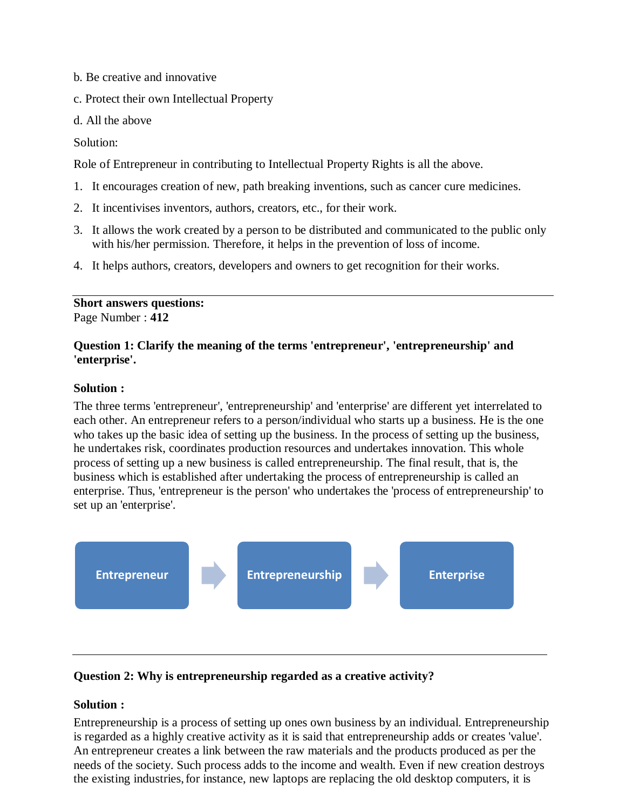- b. Be creative and innovative
- c. Protect their own Intellectual Property
- d. All the above

Solution:

Role of Entrepreneur in contributing to Intellectual Property Rights is all the above.

- 1. It encourages creation of new, path breaking inventions, such as cancer cure medicines.
- 2. It incentivises inventors, authors, creators, etc., for their work.
- 3. It allows the work created by a person to be distributed and communicated to the public only with his/her permission. Therefore, it helps in the prevention of loss of income.
- 4. It helps authors, creators, developers and owners to get recognition for their works.

**Short answers questions:** Page Number : **412**

### **Question 1: Clarify the meaning of the terms 'entrepreneur', 'entrepreneurship' and 'enterprise'.**

### **Solution :**

The three terms 'entrepreneur', 'entrepreneurship' and 'enterprise' are different yet interrelated to each other. An entrepreneur refers to a person/individual who starts up a business. He is the one who takes up the basic idea of setting up the business. In the process of setting up the business, he undertakes risk, coordinates production resources and undertakes innovation. This whole process of setting up a new business is called entrepreneurship. The final result, that is, the business which is established after undertaking the process of entrepreneurship is called an enterprise. Thus, 'entrepreneur is the person' who undertakes the 'process of entrepreneurship' to set up an 'enterprise'.



### **Question 2: Why is entrepreneurship regarded as a creative activity?**

### **Solution :**

Entrepreneurship is a process of setting up ones own business by an individual. Entrepreneurship is regarded as a highly creative activity as it is said that entrepreneurship adds or creates 'value'. An entrepreneur creates a link between the raw materials and the products produced as per the needs of the society. Such process adds to the income and wealth. Even if new creation destroys the existing industries,for instance, new laptops are replacing the old desktop computers, it is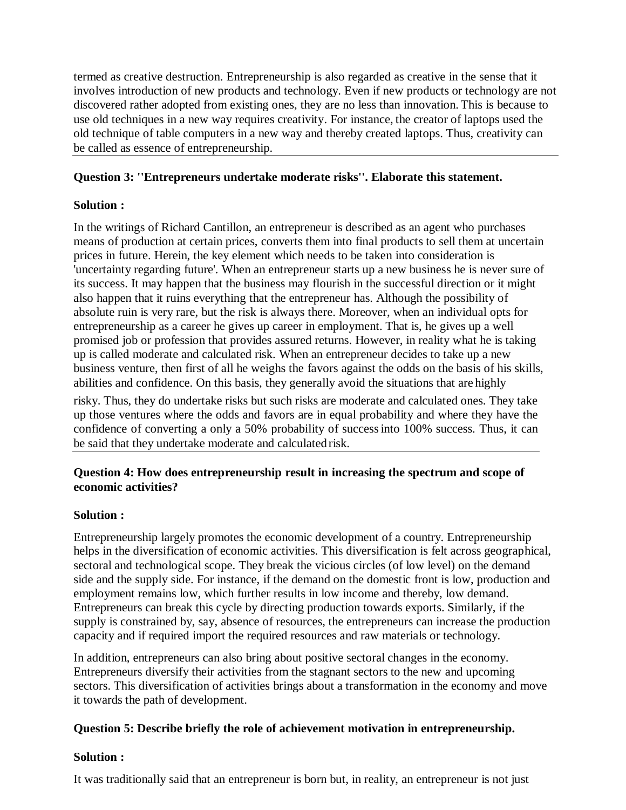termed as creative destruction. Entrepreneurship is also regarded as creative in the sense that it involves introduction of new products and technology. Even if new products or technology are not discovered rather adopted from existing ones, they are no less than innovation. This is because to use old techniques in a new way requires creativity. For instance, the creator of laptops used the old technique of table computers in a new way and thereby created laptops. Thus, creativity can be called as essence of entrepreneurship.

## **Question 3: ''Entrepreneurs undertake moderate risks''. Elaborate this statement.**

### **Solution :**

In the writings of Richard Cantillon, an entrepreneur is described as an agent who purchases means of production at certain prices, converts them into final products to sell them at uncertain prices in future. Herein, the key element which needs to be taken into consideration is 'uncertainty regarding future'. When an entrepreneur starts up a new business he is never sure of its success. It may happen that the business may flourish in the successful direction or it might also happen that it ruins everything that the entrepreneur has. Although the possibility of absolute ruin is very rare, but the risk is always there. Moreover, when an individual opts for entrepreneurship as a career he gives up career in employment. That is, he gives up a well promised job or profession that provides assured returns. However, in reality what he is taking up is called moderate and calculated risk. When an entrepreneur decides to take up a new business venture, then first of all he weighs the favors against the odds on the basis of his skills, abilities and confidence. On this basis, they generally avoid the situations that are highly

risky. Thus, they do undertake risks but such risks are moderate and calculated ones. They take up those ventures where the odds and favors are in equal probability and where they have the confidence of converting a only a 50% probability of successinto 100% success. Thus, it can be said that they undertake moderate and calculated risk.

### **Question 4: How does entrepreneurship result in increasing the spectrum and scope of economic activities?**

### **Solution :**

Entrepreneurship largely promotes the economic development of a country. Entrepreneurship helps in the diversification of economic activities. This diversification is felt across geographical, sectoral and technological scope. They break the vicious circles (of low level) on the demand side and the supply side. For instance, if the demand on the domestic front is low, production and employment remains low, which further results in low income and thereby, low demand. Entrepreneurs can break this cycle by directing production towards exports. Similarly, if the supply is constrained by, say, absence of resources, the entrepreneurs can increase the production capacity and if required import the required resources and raw materials or technology.

In addition, entrepreneurs can also bring about positive sectoral changes in the economy. Entrepreneurs diversify their activities from the stagnant sectors to the new and upcoming sectors. This diversification of activities brings about a transformation in the economy and move it towards the path of development.

#### **Question 5: Describe briefly the role of achievement motivation in entrepreneurship.**

#### **Solution :**

It was traditionally said that an entrepreneur is born but, in reality, an entrepreneur is not just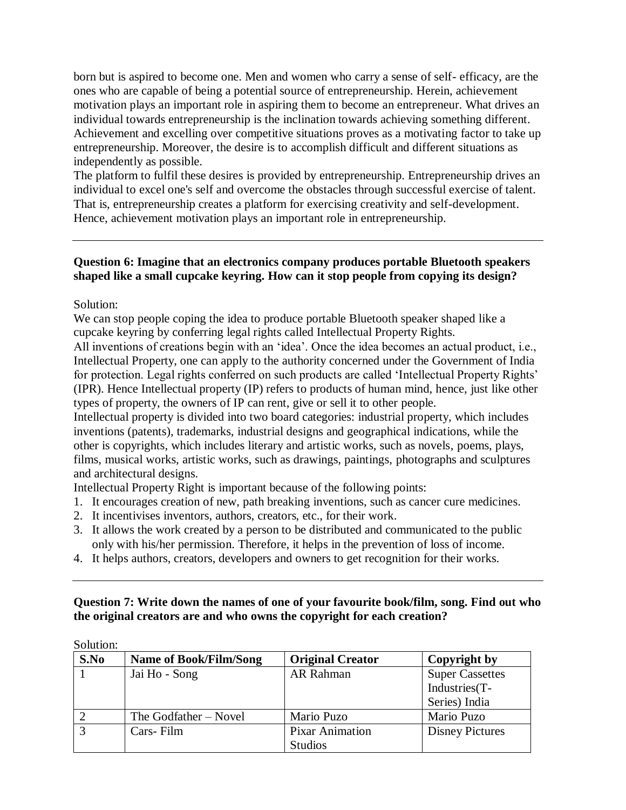born but is aspired to become one. Men and women who carry a sense of self- efficacy, are the ones who are capable of being a potential source of entrepreneurship. Herein, achievement motivation plays an important role in aspiring them to become an entrepreneur. What drives an individual towards entrepreneurship is the inclination towards achieving something different. Achievement and excelling over competitive situations proves as a motivating factor to take up entrepreneurship. Moreover, the desire is to accomplish difficult and different situations as independently as possible.

The platform to fulfil these desires is provided by entrepreneurship. Entrepreneurship drives an individual to excel one's self and overcome the obstacles through successful exercise of talent. That is, entrepreneurship creates a platform for exercising creativity and self-development. Hence, achievement motivation plays an important role in entrepreneurship.

### **Question 6: Imagine that an electronics company produces portable Bluetooth speakers shaped like a small cupcake keyring. How can it stop people from copying its design?**

Solution:

We can stop people coping the idea to produce portable Bluetooth speaker shaped like a cupcake keyring by conferring legal rights called Intellectual Property Rights.

All inventions of creations begin with an 'idea'. Once the idea becomes an actual product, i.e., Intellectual Property, one can apply to the authority concerned under the Government of India for protection. Legal rights conferred on such products are called 'Intellectual Property Rights' (IPR). Hence Intellectual property (IP) refers to products of human mind, hence, just like other types of property, the owners of IP can rent, give or sell it to other people.

Intellectual property is divided into two board categories: industrial property, which includes inventions (patents), trademarks, industrial designs and geographical indications, while the other is copyrights, which includes literary and artistic works, such as novels, poems, plays, films, musical works, artistic works, such as drawings, paintings, photographs and sculptures and architectural designs.

Intellectual Property Right is important because of the following points:

- 1. It encourages creation of new, path breaking inventions, such as cancer cure medicines.
- 2. It incentivises inventors, authors, creators, etc., for their work.
- 3. It allows the work created by a person to be distributed and communicated to the public only with his/her permission. Therefore, it helps in the prevention of loss of income.
- 4. It helps authors, creators, developers and owners to get recognition for their works.

### **Question 7: Write down the names of one of your favourite book/film, song. Find out who the original creators are and who owns the copyright for each creation?**

| S.No | <b>Name of Book/Film/Song</b> | <b>Original Creator</b> | Copyright by           |
|------|-------------------------------|-------------------------|------------------------|
|      | Jai Ho - Song                 | <b>AR Rahman</b>        | <b>Super Cassettes</b> |
|      |                               |                         | Industries(T-          |
|      |                               |                         | Series) India          |
|      | The Godfather – Novel         | Mario Puzo              | Mario Puzo             |
|      | Cars-Film                     | <b>Pixar Animation</b>  | <b>Disney Pictures</b> |
|      |                               | <b>Studios</b>          |                        |

Solution: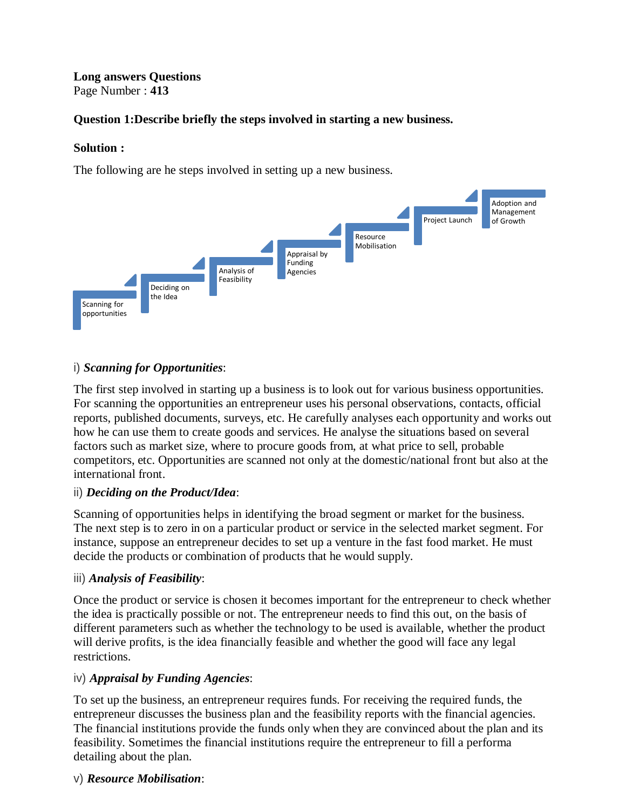#### **Long answers Questions** Page Number : **413**

### **Question 1:Describe briefly the steps involved in starting a new business.**

#### **[Solution](https://www.ncertbooks.guru/cbse-ncert-solutions-pdf/) :**

The following are he steps involved in setting up a new business.



### i) *Scanning for Opportunities*:

The first step involved in starting up a business is to look out for various business opportunities. For scanning the opportunities an entrepreneur uses his personal observations, contacts, official reports, published documents, surveys, etc. He carefully analyses each opportunity and works out how he can use them to create goods and services. He analyse the situations based on several factors such as market size, where to procure goods from, at what price to sell, probable competitors, etc. Opportunities are scanned not only at the domestic/national front but also at the international front.

#### ii) *Deciding on the Product/Idea*:

Scanning of opportunities helps in identifying the broad segment or market for the business. The next step is to zero in on a particular product or service in the selected market segment. For instance, suppose an entrepreneur decides to set up a venture in the fast food market. He must decide the products or combination of products that he would supply.

#### iii) *Analysis of Feasibility*:

Once the product or service is chosen it becomes important for the entrepreneur to check whether the idea is practically possible or not. The entrepreneur needs to find this out, on the basis of different parameters such as whether the technology to be used is available, whether the product will derive profits, is the idea financially feasible and whether the good will face any legal restrictions.

#### iv) *Appraisal by Funding Agencies*:

To set up the business, an entrepreneur requires funds. For receiving the required funds, the entrepreneur discusses the business plan and the feasibility reports with the financial agencies. The financial institutions provide the funds only when they are convinced about the plan and its feasibility. Sometimes the financial institutions require the entrepreneur to fill a performa detailing about the plan.

#### v) *Resource Mobilisation*: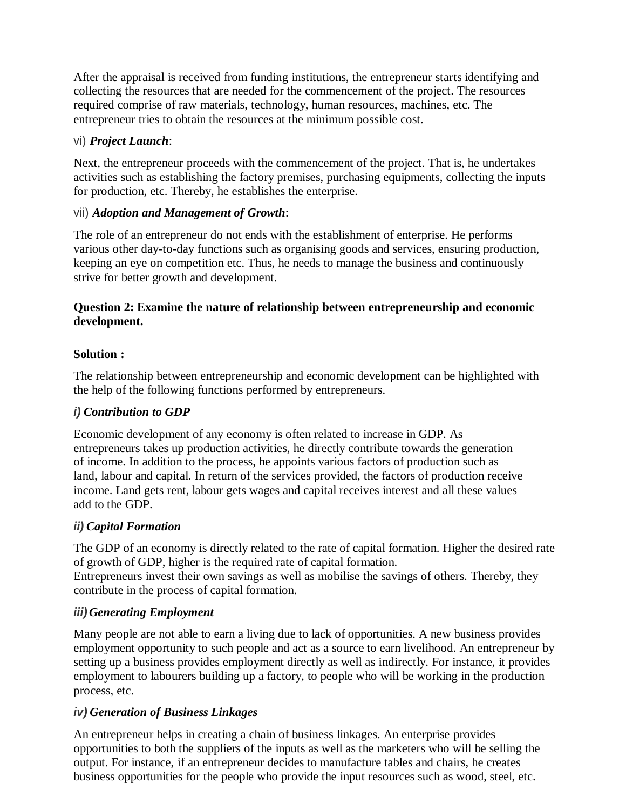After the appraisal is received from funding institutions, the entrepreneur starts identifying and collecting the resources that are needed for the commencement of the project. The resources required comprise of raw materials, technology, human resources, machines, etc. The entrepreneur tries to obtain the resources at the minimum possible cost.

### vi) *Project Launch*:

Next, the entrepreneur proceeds with the commencement of the project. That is, he undertakes activities such as establishing the factory premises, purchasing equipments, collecting the inputs for production, etc. Thereby, he establishes the enterprise.

## vii) *Adoption and Management of Growth*:

The role of an entrepreneur do not ends with the establishment of enterprise. He performs various other day-to-day functions such as organising goods and services, ensuring production, keeping an eye on competition etc. Thus, he needs to manage the business and continuously strive for better growth and development.

### **Question 2: Examine the nature of relationship between entrepreneurship and economic development.**

### **Solution :**

The relationship between entrepreneurship and economic development can be highlighted with the help of the following functions performed by entrepreneurs.

# *i) Contribution to GDP*

Economic development of any economy is often related to increase in GDP. As entrepreneurs takes up production activities, he directly contribute towards the generation of income. In addition to the process, he appoints various factors of production such as land, labour and capital. In return of the services provided, the factors of production receive income. Land gets rent, labour gets wages and capital receives interest and all these values add to the GDP.

# *ii) Capital Formation*

The GDP of an economy is directly related to the rate of capital formation. Higher the desired rate of growth of GDP, higher is the required rate of capital formation. Entrepreneurs invest their own savings as well as mobilise the savings of others. Thereby, they contribute in the process of capital formation.

# *iii) Generating Employment*

Many people are not able to earn a living due to lack of opportunities. A new business provides employment opportunity to such people and act as a source to earn livelihood. An entrepreneur by setting up a business provides employment directly as well as indirectly. For instance, it provides employment to labourers building up a factory, to people who will be working in the production process, etc.

# *iv) Generation of Business Linkages*

An entrepreneur helps in creating a chain of business linkages. An enterprise provides opportunities to both the suppliers of the inputs as well as the marketers who will be selling the output. For instance, if an entrepreneur decides to manufacture tables and chairs, he creates business opportunities for the people who provide the input resources such as wood, steel, etc.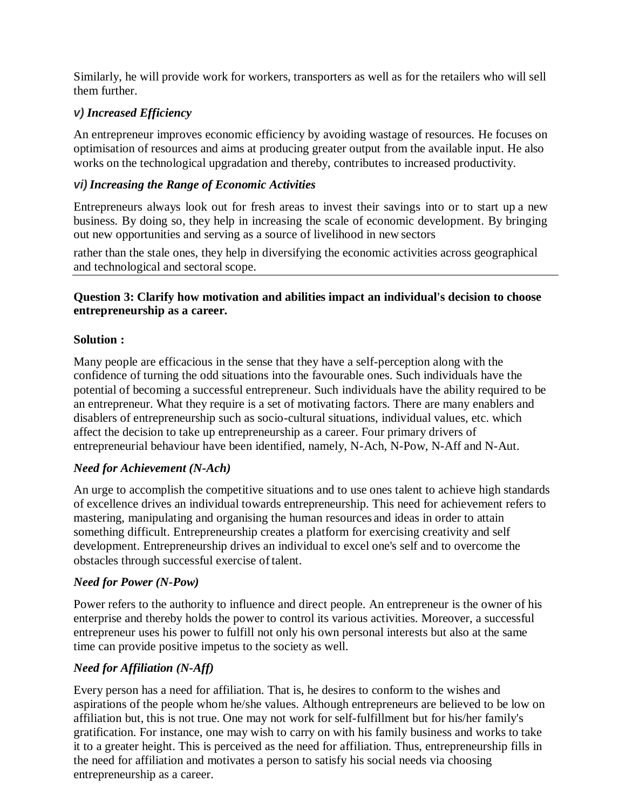Similarly, he will provide work for workers, transporters as well as for the retailers who will sell them further.

# *v) Increased Efficiency*

An entrepreneur improves economic efficiency by avoiding wastage of resources. He focuses on optimisation of resources and aims at producing greater output from the available input. He also works on the technological upgradation and thereby, contributes to increased productivity.

## *vi) Increasing the Range of Economic Activities*

Entrepreneurs always look out for fresh areas to invest their savings into or to start up a new business. By doing so, they help in increasing the scale of economic development. By bringing out new opportunities and serving as a source of livelihood in new sectors

rather than the stale ones, they help in diversifying the economic activities across geographical and technological and sectoral scope.

### **Question 3: Clarify how motivation and abilities impact an individual's decision to choose entrepreneurship as a career.**

### **Solution :**

Many people are efficacious in the sense that they have a self-perception along with the confidence of turning the odd situations into the favourable ones. Such individuals have the potential of becoming a successful entrepreneur. Such individuals have the ability required to be an entrepreneur. What they require is a set of motivating factors. There are many enablers and disablers of entrepreneurship such as socio-cultural situations, individual values, etc. which affect the decision to take up entrepreneurship as a career. Four primary drivers of entrepreneurial behaviour have been identified, namely, N-Ach, N-Pow, N-Aff and N-Aut.

### *Need for Achievement (N-Ach)*

An urge to accomplish the competitive situations and to use ones talent to achieve high standards of excellence drives an individual towards entrepreneurship. This need for achievement refers to mastering, manipulating and organising the human resources and ideas in order to attain something difficult. Entrepreneurship creates a platform for exercising creativity and self development. Entrepreneurship drives an individual to excel one's self and to overcome the obstacles through successful exercise oftalent.

### *Need for Power (N-Pow)*

Power refers to the authority to influence and direct people. An entrepreneur is the owner of his enterprise and thereby holds the power to control its various activities. Moreover, a successful entrepreneur uses his power to fulfill not only his own personal interests but also at the same time can provide positive impetus to the society as well.

### *Need for Affiliation (N-Aff)*

Every person has a need for affiliation. That is, he desires to conform to the wishes and aspirations of the people whom he/she values. Although entrepreneurs are believed to be low on affiliation but, this is not true. One may not work for self-fulfillment but for his/her family's gratification. For instance, one may wish to carry on with his family business and works to take it to a greater height. This is perceived as the need for affiliation. Thus, entrepreneurship fills in the need for affiliation and motivates a person to satisfy his social needs via choosing entrepreneurship as a career.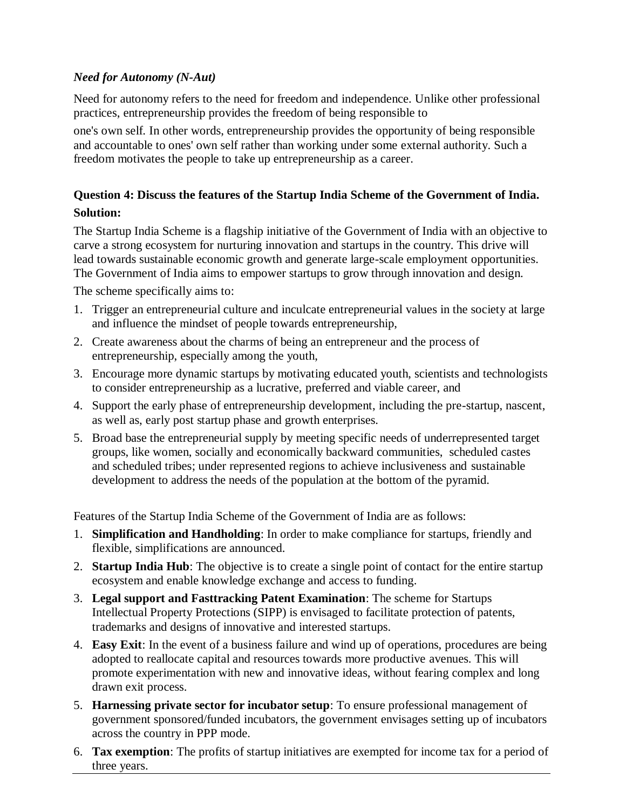# *Need for Autonomy (N-Aut)*

Need for autonomy refers to the need for freedom and independence. Unlike other professional practices, entrepreneurship provides the freedom of being responsible to

one's own self. In other words, entrepreneurship provides the opportunity of being responsible and accountable to ones' own self rather than working under some external authority. Such a freedom motivates the people to take up entrepreneurship as a career.

# **Question 4: Discuss the features of the Startup India Scheme of the Government of India. Solution:**

The Startup India Scheme is a flagship initiative of the Government of India with an objective to carve a strong ecosystem for nurturing innovation and startups in the country. This drive will lead towards sustainable economic growth and generate large-scale employment opportunities. The Government of India aims to empower startups to grow through innovation and design.

The scheme specifically aims to:

- 1. Trigger an entrepreneurial culture and inculcate entrepreneurial values in the society at large and influence the mindset of people towards entrepreneurship,
- 2. Create awareness about the charms of being an entrepreneur and the process of entrepreneurship, especially among the youth,
- 3. Encourage more dynamic startups by motivating educated youth, scientists and technologists to consider entrepreneurship as a lucrative, preferred and viable career, and
- 4. Support the early phase of entrepreneurship development, including the pre-startup, nascent, as well as, early post startup phase and growth enterprises.
- 5. Broad base the entrepreneurial supply by meeting specific needs of underrepresented target groups, like women, socially and economically backward communities, scheduled castes and scheduled tribes; under represented regions to achieve inclusiveness and sustainable development to address the needs of the population at the bottom of the pyramid.

Features of the Startup India Scheme of the Government of India are as follows:

- 1. **Simplification and Handholding**: In order to make compliance for startups, friendly and flexible, simplifications are announced.
- 2. **Startup India Hub**: The objective is to create a single point of contact for the entire startup ecosystem and enable knowledge exchange and access to funding.
- 3. **Legal support and Fasttracking Patent Examination**: The scheme for Startups Intellectual Property Protections (SIPP) is envisaged to facilitate protection of patents, trademarks and designs of innovative and interested startups.
- 4. **Easy Exit**: In the event of a business failure and wind up of operations, procedures are being adopted to reallocate capital and resources towards more productive avenues. This will promote experimentation with new and innovative ideas, without fearing complex and long drawn exit process.
- 5. **Harnessing private sector for incubator setup**: To ensure professional management of government sponsored/funded incubators, the government envisages setting up of incubators across the country in PPP mode.
- 6. **Tax exemption**: The profits of startup initiatives are exempted for income tax for a period of three years.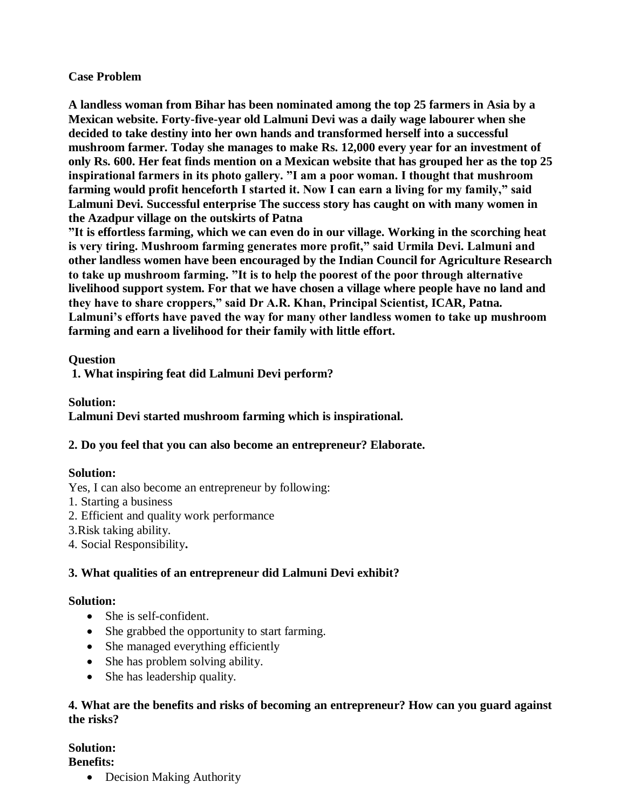### **Case Problem**

**A landless woman from Bihar has been nominated among the top 25 farmers in Asia by a Mexican website. Forty-five-year old Lalmuni Devi was a daily wage labourer when she decided to take destiny into her own hands and transformed herself into a successful mushroom farmer. Today she manages to make Rs. 12,000 every year for an investment of only Rs. 600. Her feat finds mention on a Mexican website that has grouped her as the top 25 inspirational farmers in its photo gallery. "I am a poor woman. I thought that mushroom farming would profit henceforth I started it. Now I can earn a living for my family," said Lalmuni Devi. Successful enterprise The success story has caught on with many women in the Azadpur village on the outskirts of Patna**

**"It is effortless farming, which we can even do in our village. Working in the scorching heat is very tiring. Mushroom farming generates more profit," said Urmila Devi. Lalmuni and other landless women have been encouraged by the Indian Council for Agriculture Research to take up mushroom farming. "It is to help the poorest of the poor through alternative livelihood support system. For that we have chosen a village where people have no land and they have to share croppers," said Dr A.R. Khan, Principal Scientist, ICAR, Patna. Lalmuni's efforts have paved the way for many other landless women to take up mushroom farming and earn a livelihood for their family with little effort.** 

### **Question**

**1. What inspiring feat did Lalmuni Devi perform?**

### **Solution:**

**Lalmuni Devi started mushroom farming which is inspirational.**

### **2. Do you feel that you can also become an entrepreneur? Elaborate.**

### **Solution:**

Yes, I can also become an entrepreneur by following:

- 1. Starting a business
- 2. Efficient and quality work performance
- 3.Risk taking ability.
- 4. Social Responsibility**.**

### **3. What qualities of an entrepreneur did Lalmuni Devi exhibit?**

### **Solution:**

- She is self-confident.
- She grabbed the opportunity to start farming.
- She managed everything efficiently
- She has problem solving ability.
- She has leadership quality.

### **4. What are the benefits and risks of becoming an entrepreneur? How can you guard against the risks?**

# **Solution:**

**Benefits:**

• Decision Making Authority